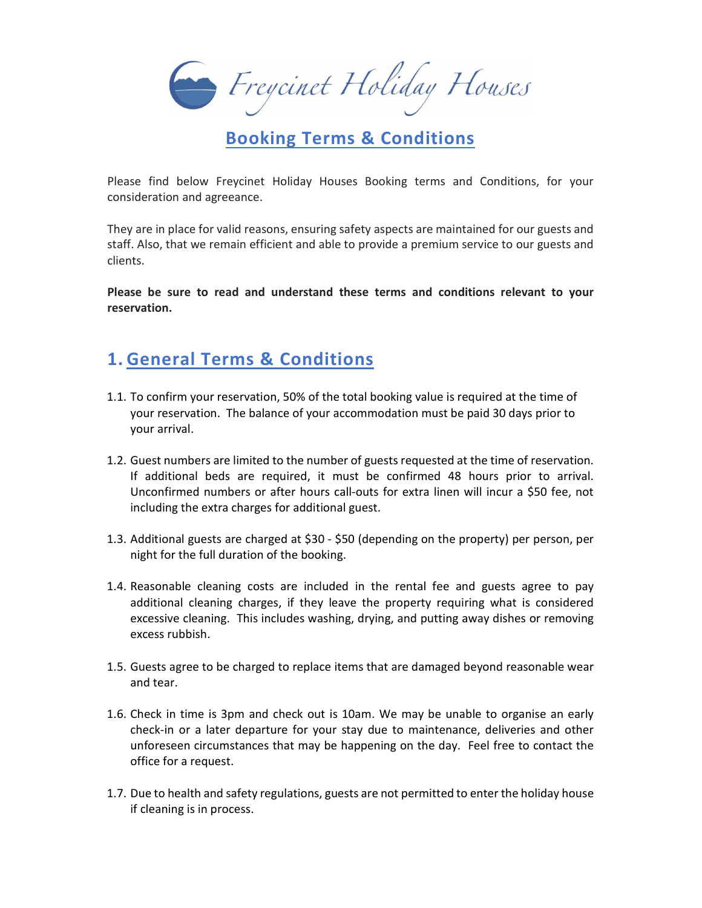Enegrinet Holiday Houses

### Booking Terms & Conditions

Please find below Freycinet Holiday Houses Booking terms and Conditions, for your consideration and agreeance.

They are in place for valid reasons, ensuring safety aspects are maintained for our guests and staff. Also, that we remain efficient and able to provide a premium service to our guests and clients.

Please be sure to read and understand these terms and conditions relevant to your reservation.

## 1. General Terms & Conditions

- 1.1. To confirm your reservation, 50% of the total booking value is required at the time of your reservation. The balance of your accommodation must be paid 30 days prior to your arrival.
- 1.2. Guest numbers are limited to the number of guests requested at the time of reservation. If additional beds are required, it must be confirmed 48 hours prior to arrival. Unconfirmed numbers or after hours call-outs for extra linen will incur a \$50 fee, not including the extra charges for additional guest.
- 1.3. Additional guests are charged at \$30 \$50 (depending on the property) per person, per night for the full duration of the booking.
- 1.4. Reasonable cleaning costs are included in the rental fee and guests agree to pay additional cleaning charges, if they leave the property requiring what is considered excessive cleaning. This includes washing, drying, and putting away dishes or removing excess rubbish.
- 1.5. Guests agree to be charged to replace items that are damaged beyond reasonable wear and tear.
- 1.6. Check in time is 3pm and check out is 10am. We may be unable to organise an early check-in or a later departure for your stay due to maintenance, deliveries and other unforeseen circumstances that may be happening on the day. Feel free to contact the office for a request.
- 1.7. Due to health and safety regulations, guests are not permitted to enter the holiday house if cleaning is in process.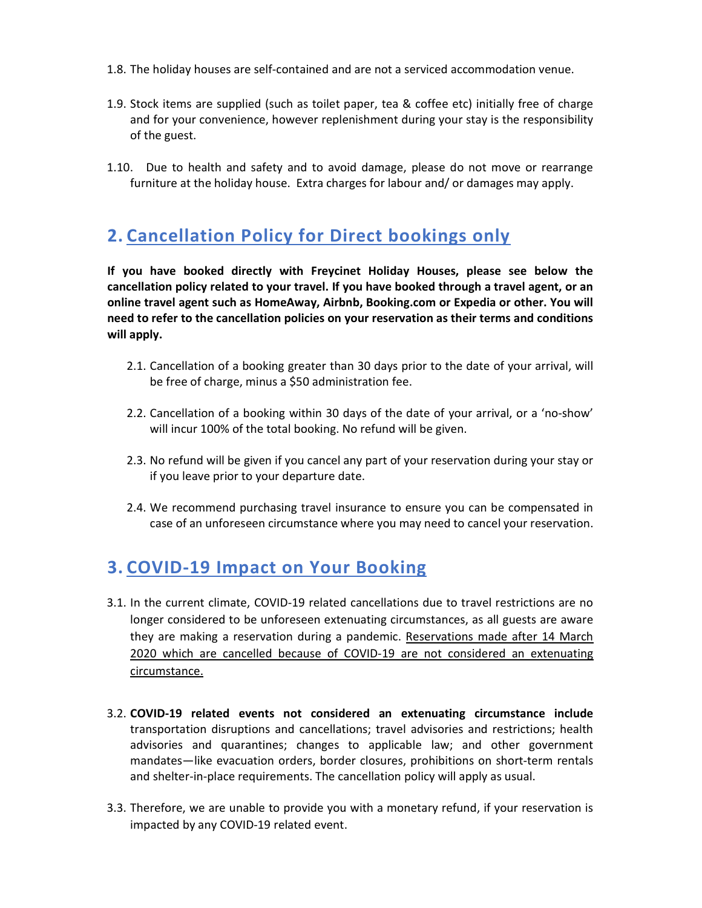- 1.8. The holiday houses are self-contained and are not a serviced accommodation venue.
- 1.9. Stock items are supplied (such as toilet paper, tea & coffee etc) initially free of charge and for your convenience, however replenishment during your stay is the responsibility of the guest.
- 1.10. Due to health and safety and to avoid damage, please do not move or rearrange furniture at the holiday house. Extra charges for labour and/ or damages may apply.

# 2. Cancellation Policy for Direct bookings only

If you have booked directly with Freycinet Holiday Houses, please see below the cancellation policy related to your travel. If you have booked through a travel agent, or an online travel agent such as HomeAway, Airbnb, Booking.com or Expedia or other. You will need to refer to the cancellation policies on your reservation as their terms and conditions will apply.

- 2.1. Cancellation of a booking greater than 30 days prior to the date of your arrival, will be free of charge, minus a \$50 administration fee.
- 2.2. Cancellation of a booking within 30 days of the date of your arrival, or a 'no-show' will incur 100% of the total booking. No refund will be given.
- 2.3. No refund will be given if you cancel any part of your reservation during your stay or if you leave prior to your departure date.
- 2.4. We recommend purchasing travel insurance to ensure you can be compensated in case of an unforeseen circumstance where you may need to cancel your reservation.

#### 3. COVID-19 Impact on Your Booking  $\overline{a}$

- 3.1. In the current climate, COVID-19 related cancellations due to travel restrictions are no longer considered to be unforeseen extenuating circumstances, as all guests are aware they are making a reservation during a pandemic. Reservations made after 14 March 2020 which are cancelled because of COVID-19 are not considered an extenuating circumstance.
- 3.2. COVID-19 related events not considered an extenuating circumstance include transportation disruptions and cancellations; travel advisories and restrictions; health advisories and quarantines; changes to applicable law; and other government mandates—like evacuation orders, border closures, prohibitions on short-term rentals and shelter-in-place requirements. The cancellation policy will apply as usual.
- 3.3. Therefore, we are unable to provide you with a monetary refund, if your reservation is impacted by any COVID-19 related event.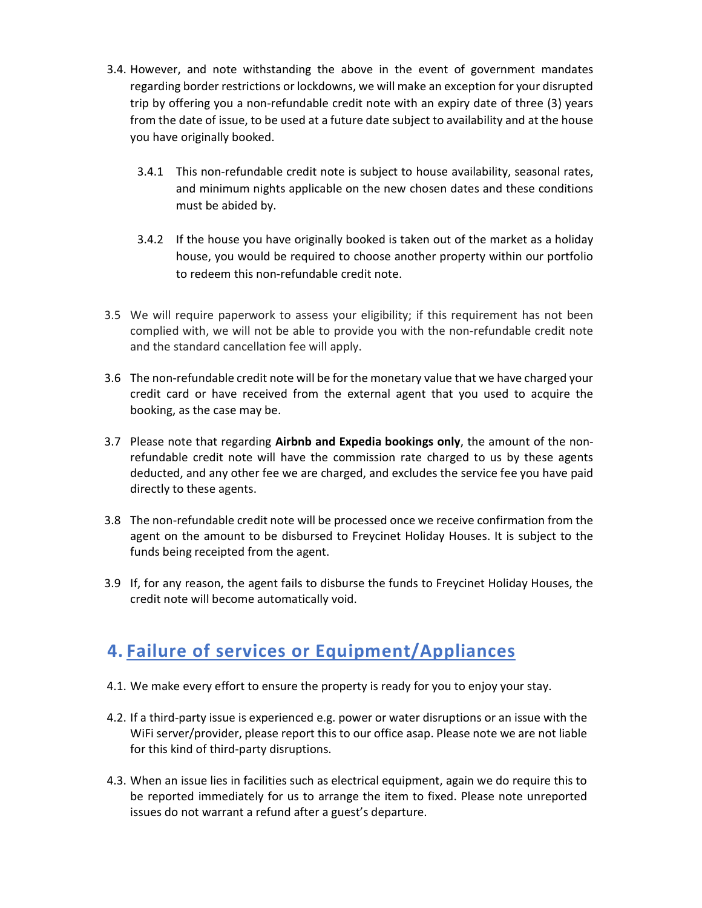- 3.4. However, and note withstanding the above in the event of government mandates regarding border restrictions or lockdowns, we will make an exception for your disrupted trip by offering you a non-refundable credit note with an expiry date of three (3) years from the date of issue, to be used at a future date subject to availability and at the house you have originally booked.
	- 3.4.1 This non-refundable credit note is subject to house availability, seasonal rates, and minimum nights applicable on the new chosen dates and these conditions must be abided by.
	- 3.4.2 If the house you have originally booked is taken out of the market as a holiday house, you would be required to choose another property within our portfolio to redeem this non-refundable credit note.
- 3.5 We will require paperwork to assess your eligibility; if this requirement has not been complied with, we will not be able to provide you with the non-refundable credit note and the standard cancellation fee will apply.
- 3.6 The non-refundable credit note will be for the monetary value that we have charged your credit card or have received from the external agent that you used to acquire the booking, as the case may be.
- 3.7 Please note that regarding Airbnb and Expedia bookings only, the amount of the nonrefundable credit note will have the commission rate charged to us by these agents deducted, and any other fee we are charged, and excludes the service fee you have paid directly to these agents.
- 3.8 The non-refundable credit note will be processed once we receive confirmation from the agent on the amount to be disbursed to Freycinet Holiday Houses. It is subject to the funds being receipted from the agent.
- 3.9 If, for any reason, the agent fails to disburse the funds to Freycinet Holiday Houses, the credit note will become automatically void.

### 4. Failure of services or Equipment/Appliances

- 4.1. We make every effort to ensure the property is ready for you to enjoy your stay.
- 4.2. If a third-party issue is experienced e.g. power or water disruptions or an issue with the WiFi server/provider, please report this to our office asap. Please note we are not liable for this kind of third-party disruptions.
- 4.3. When an issue lies in facilities such as electrical equipment, again we do require this to be reported immediately for us to arrange the item to fixed. Please note unreported issues do not warrant a refund after a guest's departure.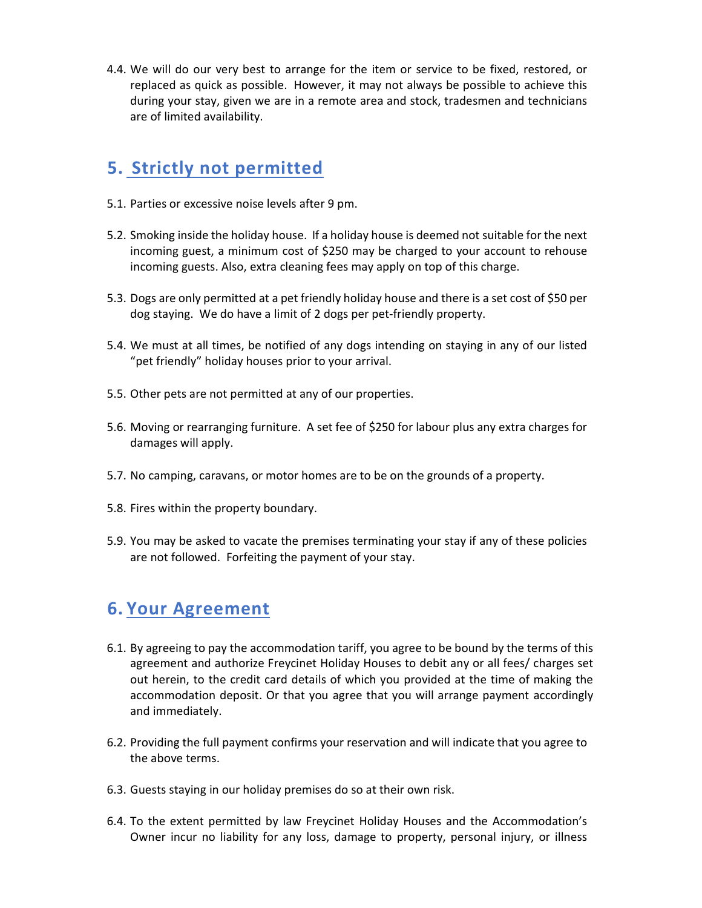4.4. We will do our very best to arrange for the item or service to be fixed, restored, or replaced as quick as possible. However, it may not always be possible to achieve this during your stay, given we are in a remote area and stock, tradesmen and technicians are of limited availability.

### 5. Strictly not permitted

- 5.1. Parties or excessive noise levels after 9 pm.
- 5.2. Smoking inside the holiday house. If a holiday house is deemed not suitable for the next incoming guest, a minimum cost of \$250 may be charged to your account to rehouse incoming guests. Also, extra cleaning fees may apply on top of this charge.
- 5.3. Dogs are only permitted at a pet friendly holiday house and there is a set cost of \$50 per dog staying. We do have a limit of 2 dogs per pet-friendly property.
- 5.4. We must at all times, be notified of any dogs intending on staying in any of our listed "pet friendly" holiday houses prior to your arrival.
- 5.5. Other pets are not permitted at any of our properties.
- 5.6. Moving or rearranging furniture. A set fee of \$250 for labour plus any extra charges for damages will apply.
- 5.7. No camping, caravans, or motor homes are to be on the grounds of a property.
- 5.8. Fires within the property boundary.
- 5.9. You may be asked to vacate the premises terminating your stay if any of these policies are not followed. Forfeiting the payment of your stay.

### 6. Your Agreement

- 6.1. By agreeing to pay the accommodation tariff, you agree to be bound by the terms of this agreement and authorize Freycinet Holiday Houses to debit any or all fees/ charges set out herein, to the credit card details of which you provided at the time of making the accommodation deposit. Or that you agree that you will arrange payment accordingly and immediately.
- 6.2. Providing the full payment confirms your reservation and will indicate that you agree to the above terms.
- 6.3. Guests staying in our holiday premises do so at their own risk.
- 6.4. To the extent permitted by law Freycinet Holiday Houses and the Accommodation's Owner incur no liability for any loss, damage to property, personal injury, or illness